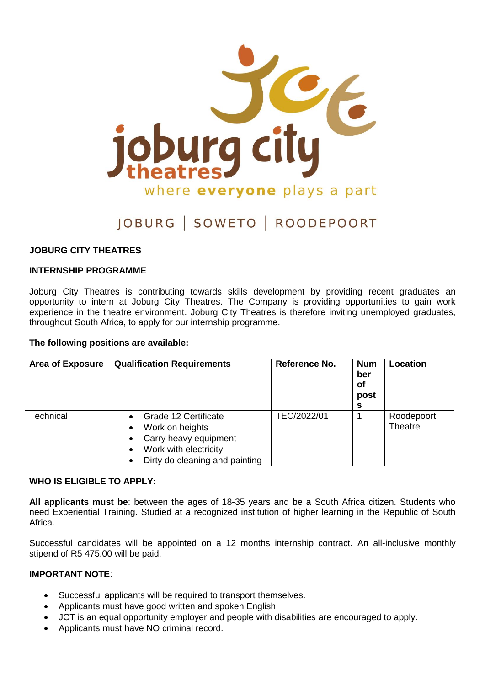

# JOBURG | SOWETO | ROODEPOORT

## **JOBURG CITY THEATRES**

#### **INTERNSHIP PROGRAMME**

Joburg City Theatres is contributing towards skills development by providing recent graduates an opportunity to intern at Joburg City Theatres. The Company is providing opportunities to gain work experience in the theatre environment. Joburg City Theatres is therefore inviting unemployed graduates, throughout South Africa, to apply for our internship programme.

#### **The following positions are available:**

| <b>Area of Exposure</b> | <b>Qualification Requirements</b>                                                                                           | Reference No. | <b>Num</b><br>ber<br>of<br>post<br>s | Location              |
|-------------------------|-----------------------------------------------------------------------------------------------------------------------------|---------------|--------------------------------------|-----------------------|
| Technical               | Grade 12 Certificate<br>Work on heights<br>Carry heavy equipment<br>Work with electricity<br>Dirty do cleaning and painting | TEC/2022/01   |                                      | Roodepoort<br>Theatre |

#### **WHO IS ELIGIBLE TO APPLY:**

**All applicants must be**: between the ages of 18-35 years and be a South Africa citizen. Students who need Experiential Training. Studied at a recognized institution of higher learning in the Republic of South Africa.

Successful candidates will be appointed on a 12 months internship contract. An all-inclusive monthly stipend of R5 475.00 will be paid.

#### **IMPORTANT NOTE**:

- Successful applicants will be required to transport themselves.
- Applicants must have good written and spoken English
- JCT is an equal opportunity employer and people with disabilities are encouraged to apply.
- Applicants must have NO criminal record.